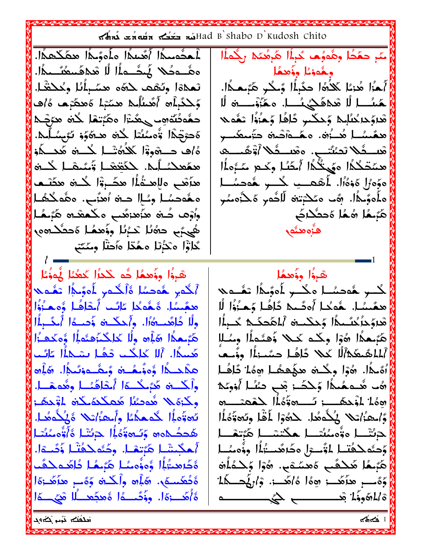That rigging Lizy millad B shabo D Kudosh Chito أهدُّوسِياً أَمُّنِياً وَأَوْرَجًا هِمَّكُهِدًا. مِّد حِمَّجًا وِجَْوَوْهَا جُدِلًا جَرْهُكُمْ رَجُّهَلَّا ەھْــەكْلا كُنْھَــەلُّا لَّا مْدْفَىنْغُنَّــىدُّا. وهُدفِيْلِ وِذُهِمْلِ أَهْزَا هُزْمًا كَلَّاهُ! حَذَرِهُ! وَحَكَّرٍ هَزَمِهِ ذَا. تَعَمَّةَا وِنَتْقَتَ حَيَّةَ مِنْسَبِكُنَّا وِخُطَّقْتَا. هَسُـــا لَا مْحَاهَكِيمُـــا. مِعْزُوْــــــف لَٰا وَحْدُرِلُهِ أَهُمْلُكُمْ هِمْتِهَا هَهِجَتِهَا هُ أَفْ مَّوَضَّة مِنْ الْمُتَدَّمَ الْمُنْهَرِ حَمَّقَتْمُ هُ هْرَوُحِرَكْتُلِحْ وَحَكَّسٍ قَاقًا وَحَزْوًا عَفُمَلا ەَحْوَجْدًا وُّەمىُنْدَا حْدَه ھـھَوَو تَوَمِنُـلُّكِ. همَّسُاً هُــُ;ة. ممَّــةَآتَــة حَبَّىـهَــــو هُ/ف ڪشوڙا ٽلاُهُتْكِ لُڪش هُنڪُو مْسِـ فُلا تَصُنُنْــي. ۚ هُســفُلا ٱوْهُــــمِهِ هنقكمُا مَهَيْتُكُمُا أَمْتُنَا وَحَــم مَــرَّه الْمَــرَة محَمَعكُــأَبِـمْ. حَكَمَّعْبَـا تُرَسَّمْـا كُــف هدَفَبِ ولِلمِنفُلُا هجُورَةَا لِحُلَّةِ هجَنَــْـم ەؤەرُل ەُوْەُال. لاشھىسيە لگىسىر لمەھمئىسار ەلەۋىمال بە ەكتېتە للىمر ەڭدەمىر معْدَمسُا وسُلِّا حـفهُ أهنَّب. مقْمكْشَا وأوْها حُــٰة هـٰأهـٰأهـٰم مكـْعقـُـه هُبُـمُـا هَبُسُا هُـمُا هُحثَـُدمَـ وأوهثم هُيبٌم حمُلًا تَسْرُلُا وِذَهمُا هَحثَك مِهر كَارْوا هْجْزْنَا هِمْخَا هَأْحِتْا وِسَّتَبَ هْرِؤُا وِؤُهِمُا شَهِ كَلِّدًا كَعَيْنَا لِمُؤْمَّا هْرِذُا وِذُهِمُا ٱلْحُمْدِ هُوصِمًا وَٱلْحُمْدِ لَمُورَّحَةًا تَعْتَمَدَ لْحُسِرِ ـ هُوصِبُــا وكُسبِرٍ ـ أُووُبِكُمُّا يَـفُسونَهُ مِعْسُلُهِ. ةَحْمَكُلْ عَانَبَ أَحْقَاهُ لِيُوْمِعُوْدًا هِهُسُا. هُوجُا أُوصَّهُ ثَافًا وَهِ ُوُّا لَٰا ولًا دُامًْدِ وُهُ اللَّهُ فَيَ اللَّهُ وَحَدِّدُ أَيْدُ وَلَٰهُ ا هْدَوَّدْلُكْسُمْلَ وَحكْسة ٱلمَّحَكُــِمُّ كَــِزْلَمْ هُبُعِدًا هَذَهِ ولَا حَلِكْتُوشَهِيًّا وُمَحُفُّرًا حَبَّمِهَا هُوْا وِكُم حَكَّلا وُقِيمَاْ! وِسُلَّا هَسِدًا. أَلا كَلِكُت دْهُـا بِشْجْلًا كَانَت أَمْلَاهُبِعَكُمْ أَلَّا يَحِيْدُ خَاهُ الْمَسْتَوَالُ وَوَّسَفْ عِلْمِكْمَا وُوَمُكْهُ وُحِكْمَوْتُبِكُمَا. وَكَمْلُو ٱمَّـٰهَٰٓا. ﴿ وَلَا مِكْـٰفَ مِنْهُـٰفِصْـٰا وَهُٰٓا تُاهُـٰا وأكن هُرُمُكُمَّا أَمْثَاقُسًا وَهُدَهْمًا. لأُما هُـــممُــدًا وَحْكَـــٰ; قِبِ حَنُــٰا أُوْوِيَٰ\$ وكزة لا شوصُلُ مُعكِّدَهُكُو الزُّحصَٰ: وَٱحْدُٰاتِكَ لِكُمُعَكِّدٍ. حَمَّوْا لَمَقَّا وِتَعَوَّهُما تَوْوَدُا كَمْهَدًا وأَحْدُرُكَ وَيُحْدُبُهِ الْمُحَمَّدَ هَحَصُّــاه وَ وَسَٰـهَ وَلَهُ وَاللَّهُ } أَوْ وَمُمُتَــل حرشا وؤوعلتما حكتشا هُتما وَحِثَه حَدَّتَــا لمُؤَسَّوْلِ هَدَاهُمَــتُٰٓالُو وَفُهمْــا أَهكِشًا هَرُتِهْا. وِكُمْحَفَتْنَا وُكُدَا. ةَكَاهِيتُهُمْ أَوْوَوْوْمِيْلِ هَيْبِهْلِ فُاهُدِهِ حَقَّب هَّبُـهُا هُـْكُفُبِ هُمْسُـٰٓءَبٍ. هُوۡۤا وَجَـٰهُـٰهُمُ ەْتُكْسَمُ. ھَآھ وَٱكْتَ وَەْبِ ھَٱھُـْزَەَ وَدَّــــ هدَهَـــ وه الأَهْـــز. وَارِيَكَـــدَادُ ةَأَهَّـــزِهَا. وِذَكَّـــهُ| ةَمْجُعْــلًا مِّيَـــةِ| مَا مَكْمُ مَهْمَ مَتَّا مَا مَنْ مَكْسَفَة ر په ده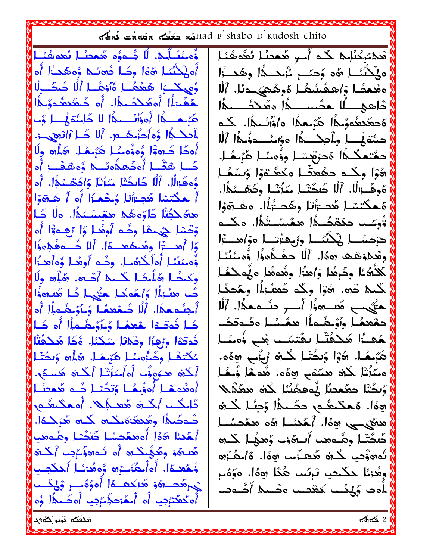Shabo D'Kudosh chito

وُّومُنُكُلِّي ٱللَّهِ صَوْوِ مُعْجَبُ أَنْعَدِهُكُمْ أُهلْكُنُـا هَهُا وحُـا دُهنَـه وُهعُدْ:ُا أُه وُوحِكْمُ الْقَعُثُمُ الْأَوْضُا أَلَّا شَدَّا ا هَقَبَارُا أَومَكْتُمِمُّا. أَو شَعَكِعْتُدَوِّكُم كَبْتِ الْمَوْالُكْمَا الْكَامْتَهْكَ الْمُحَافِي أُحِكْماً وَمَأْجَنُهُ مِ. أَلا حَلَّ ٱاتَّىٰ :. أُوحًا حُدوَّا وُوزُومُا هُرُهَا. وَأَوْ وَلَ كُــا هَتْــا أُوحُهدُونَــد وُوهْفَــز أُو وُوهَرَالًا. أَلَّا حَابِجَتَا عَبَٰرَتَا وَاحَقِّعُجًا. أَو أَ هكْتِسْلَ هُجِــٰٓرَانَل وُحْـدَرَٰلَ أَن أَ حُـٰتِوْوَلَ هِوَكَجُتْلَ خَاوُهِ هُمْ هَمْسُتُمُلُ وَلَا جَا وْحْسًا جَهْجَهَا وِحُد أُوهُـا وَا وَهِدَرًّا أَه وَا أَهْتَ أَوهُ مَعْهُدَ وَلَ ذُهِ مُنْكُمْ أُهِ أَحْدَهُ صَلَّى فَهِ أُوهُمْ أَوْهُ أُهْدُرُا وكبكر وَمُلَكِّد كَسِيم أَصْبَحَ وَمَلَّامٍ وَلَمَّ حَب هئزاً وَاهْدَدًا هَرْسًا دًا هُدهَا أَجِنُهِ هِذًا. أَلَّا خُتْمَعِهُا وَيَزَوْجُهُمَا أَه كَـا ثُوتَـٰءَا ـِهْعِمُـا وُـزَّوُبِعُـٰدِيًّا أَو كَـا خُوتُهُ! وَوَجَٰرًا وَحْمَلْنَا مَكْنَا. وَجَا هَٰكُمْ فَلَاهُتْلَ كَتْݣَارْ وَحُبُّومُمَا هَٰزُهُمْ. وَأَرْوَ وَتَكْتَلْ أَكْتَ هُوَوَنًا أَوَأَسَّرَتَا أَكَثَرَ هُسْمًى. أُهِ مُدَهْداً أُهْزُعُهُ الْوَتَكْتَبَا كُنْ مُحْمَّتُنَا كَاكْبْ أَكْتُ هُدِكْيِلًا. أُوهِكْيڤُوب كُەكْبار ومُدەَنْزَەتكە كە مُرْكەًّا. أهَّدْمُا هَٰهُا أُوهِهُدِسُا كُتْحَدًا وِهُـوهِب كَتَنْتُوْ وَكَيْرُنْكُ، أَنْ شُوْوَنُوْمِ أَيْكُ، فَ وُهَعِيمًا. أَه أَيكُرُبْرَهِ وُهِ هُزْيًا أَجِيْجِيبِ ثى هُدَا هُدَا كُلُمْ مَا أُودُهُ مِنْ وَلِيَكْسَبَ أَهكَكْتَبْتِي أَه أَحْذَتِكُمْ بَيْتِ أَهكُمْا وُه

مَحْمَدُ حُبُلِهِ حَمْدَ أُسِي مَحْمَدُ النُّعَةِ هُدَا ولْمَثْسًا هُو وَحِسِّر مُنْعِجَا وهُجِيْرًا ەقىمكا ۋاھقىنىمْا ەوھىيىھا. ٱلْا دْاهِجِــــلَّا هِجَْسَــــدُّا هِ مَحْكَـــــدُّا ەَحعَّدىثُدۇمدا ھَ ْمعدا داۋائىمدا. كە حِشَة فِي الْمِكْمُ الْمَحْسَدِينَ وَالْمُسْتَوَمِّطَا أَلْلَا حمَّتمكُــدًا هَدْقِحْسَــا وذُهسُــا هَرُــمُــا. هُوْا وِكُــه حَعُعَثْــا مَكَعْــٰةوْا وَسُـمُــا هُوهُــ;الًا. أَلَّا حُبِّتْـا مَبُرْتْـا وِكَعْـــبُدًا. هَـمكْتسْـا هُدــترُنا وهُدـتُواْ. وهُــقوْا وُّوسُــد حثَقْدُــدًا همَّنسُــتُدًا. مكّــم دَمِسْهِ الْكُنُسَةُ وَرُحِعَزُهُمْ وَأَهْشَاءَ وَأَهْلَقَوْا وقَدْدَوْهُـدْ مِهْلْ أَلْلَ حَفُـدُّهِ وَلَٰهُ وَّٰهِ مَمْتُـُـل كْلُهُمْا وِحُرِهُا وْاهْزًا وِهْدِهُا دِيْحَكُمْا كُمِّهُ دُهِ. هُوْا وِكُمْ دَهْنُـٰٓ;أَا وِهَٰدَخُـٰا هَتَيْبٍ هَٰذَا أَبِ دَنْــمِهُ! أَلْمَــْ حقعمًا وَآوُحشَّـداً! محمَّـسُـا ەكَــەتكَ هَهــرُا هَٰذِهُنْـا بِمُتسَبِّ قِبِ وُوسُــا هَّبُـمُـا. هُوْا وَبِحَثْـا كُــهْ رُبُّبٍ هِهَه. مَمَّاتًا لَهُ مَسِّمَّحٍ وَهُمَ هُمَمَّا وُحَمَّا وَىحَتْا حمَّمصاُ فَيَوْهُنَا لَاهَ مِعَدَّلًا ادةًا. هَـمثَـمتُـم، حصَّـماً وَجِئُـا كُــف هدئ بي ره أن أحكمنا ره محكمنا كُنتُنْا وهُـدهب أُنــهُوْب وُههُـا لْحُــه ثُمْ وَوْصٍ لَكْمَةٍ هُمْ عَزْمٍ وَوَالٍ وَالْمَحْتَوَى وْ وَهُٰٓئِكُمْ لِكُنْدِيا ۖ ثَرِيَـٰتَ هَٰٓكُمْ ۚ وَهُدَاءَ ۖ وَوَّهُ ۖ وَ لمُّەت وَّٰہُکُسا کَنْفُقْتَ وَضَّنَدَا أَرْضُنَاتَ

مَا مَكْمُ مَهْمَ مَتَّا مَا مَنْ مَكْسَفَة

 $\mathbf{K}$ a $\mathbf{K}$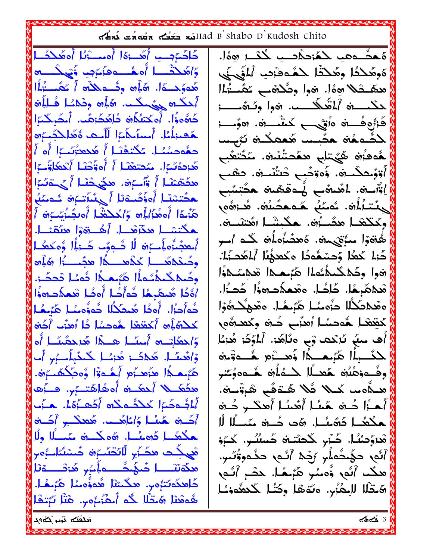Khri riggin Kiriy riHad B`shabo D`Kudosh Chito

دَادَمَ جِبِ أَهَدَوَا أُوسِيْرُا أُومَٰكِنَّا وَاهْلِكْتْسَا أُهِمْسُوهِ زَيْنِهِ وَيُهْلُسُوهِ هُدوَحِيدًا. هَلُو وَشَيدِهُمْ أَيْتُمْ يُؤْلَ أحكسي حصَّ الله عليه وشمال فُالمُ كَرْهُووُا. أُوكْتْتُكُرْهْ كْارْتُكْرْهُبْ. أَيْخُرِكْتَرَا هَدِيزُيْل أَحِيزُ جَارَا لِلْبَحِبِ وَهَا لِكَجِيرُ وَ حِفْدِسُنَا. يَكْتَفْنَا أَ هَٰذِهَبْتَمَا أَهِ أَ هَزحِمُنَّ الْمَحْتَعْقَالُ أُوَوَّحْنَا أَكْمَأَوَّجَا مَحْمَّشَرَ أَ وَٱبْنَ هُ مَجْنَةً أَ لَتَمَعَّضُ هَدَّتَشْكَلْ أُهْؤُكْسَةْنَا أَنْ بِنُبَأَتِبَرْهُ شَهْبَتُكُمْ هَّنُوَا أُوهُزَايِلُو وَاحْكِظْا أُوبِكِّرْسَرَوْهِ أَ هكتشبا محّزهْبا. أَهُـــةوا مِنَعْتِبا. أَعِيثُومٍأَكِرَةَ لَا شُدوَّتَ شَـٰزَاْلِ وُوكَعَنَالِ وحُبْدُهُ مَنْ الْمَدْهُ وَالْمَسْمَلَ الْمَدْرَبُولُ وَالْمَرْوَةُ وضَّمْكُمْتُماْ هُرُجِيًْا شُمِيَّا وَحَدَّ: اَوْدًا مُحَمَّدِهُا خُوَاْجًا أُودًا مُعَجَّدِودُا حْدَاْحَوْلِ. أُوطُل هُمكْلًا خُوزُومُمَا هَٰزُمْهَا كَحْدَةَ إِنَّ أَكْمَنْهُمْ هُوَجِسًا ذَا أَهْنَى أَجَرَهَ وَاحِعَاتِ وَ أَسِيًا هِــدًا هُرِجِعَينَــا أَو وْاهْدىئَا. هَٰٰٓدَكَ جُوْسًا كَٰنِدَٰٓ الْمَسَٰٓرِ ٱب هَ مِمْ الْأَهْدَمِ أَهُدَوْا وُدِكْتُهَاءُو. أَلمَدُوحَمَ الكَلْاحُدِينَ أَكْتَبَوَّهَا. حَذَّب أَكْتُ هَبْسًا وَإِيَّاهُــب. هُتَعَكَـبِ أَكَتْتَهُ هَكْتُمَا دَرْمِيْا. رَهُ مَكْتُ مَيْسَلًا وِلَا ەبېكت مخَنّ، لَائْتَئَبَ: ئىشئات، كَامِكُونَتَرُوبِ. مِكْتِبْلَ مُحوَّوعِنَا ۚ هَرَيْهَا. هُومْنَا هَٰتَاًا كُو أَحْنَبُوبِ. مْتَا تَبْتَقَا

ەُھھُــەمىر كەزدەكـــىر كْتْـــر 30%. هُوهَكْدًا وهَكْثًا كِمُّەفْرَْفٍ ٱلمُؤْرِيَّى ههَـطْلا روهُا. هوا وطُلهَـــ كَمُــتُما حكْمِية ٱلمُغَلِّكْمِية. فوا وِئْدُّمْسِيغ |قَزْوِهُـــة هُوَيْــــ كَمَنْـــة. «وَْــــز للدُّےهُ۞ محَّبِيب هُمعكُنْ تَوَّبِيب هُوَدُوْهُ هَيُتلب مِهْتَشْتُمْ، مَكْتَفَب أَوْوُعِكْمِيْهِ. وُوَوَّجِّي قَتَنَّمَـةٍ. فَقَب إِوَّٱسْتَهْ. لمَعْدَهُبِ فُي صَفَّقْدَة هَجَّبْتَيْبِ لِمَ مُتَمَلِّكُمْ . هُمُعَاهِدَهُ مُعَاهَدٌ مُعَاهَدٌ مِنْ مَعَاهِدٍ أُوكَكْشَا مِدُّسُرُه. هِكْتْسَا رَمُتْسَرِهِ. مُعَوَّمَ الْمُؤَمَّنَ مِنْ مَعْدَّوْهِ أَمَّاهُ لَكُمْ أَسْو حَٰ; لَكَعُل وَحِسْفُوطُ وكَعِجُبُل أَلْمَعْجَدُ: هوا وحُمْكُممُّعُما هَّرُمُمَا هُمْكُمْ وَ أَ هَٰكُمَ هُلْ. كَاكُلْ. وقَعْمَكْدُووُا ۖ كَحَرُّا. ەقىدىكلا مۇمئىل ھۇمگلا مقھگىدۇۋا كَفِيقاً هُوصُلاً أُهزَّب حُـ وَ وَكَعِيشَو ۖ أَه منّ نّاتَك وْبِ وَنَاهُوْ. أَلْمُوَّدُ هُوْمًا لِكَتَّبِيدًا هَبَّتِهِ لَمَّا وَجَدْءَمٍ هُـدوْنُوهِ وفَــووَمُلُهَ ـهَعنــُلا ـحــهُـلُهَ ـهُــوهوُكُنو هـذُه سـ كَـــلا هُلا هُــتَمَّع هُـبْۊُـــة. أَهْدُا حُــْةَ هَيْسًا أَهْيِسًا أَهْكَــْبِ حُــْة هكْݣُــا دُهُنْــا. هُت حُـــة مَيْــلَا لُا ەْدَوَّصْنُا. كَنْهِ ݣْحَتْنە كَسْنُس. كَبَرْه | ٱلَّـهِ حَهَّـمَّـمَاّمِ ۖ رَّكُـهِ ٱلَّـهِ حَدَّـهِ وَّتُسُو. هكُتْ أَنُوبُ وْْوَسُرِ هُرُسُمَا. حَضْرِ أَنْتُوبِ أَهَ تَمْلَلُ لِلْحُنُو. وتَفْعَلْ وِكَتُلْ كَحْمَدُونُـلْ

م الأنش من المنفقة

 $\mathbf{K}$ ሐ< $\mathbf{A}$  3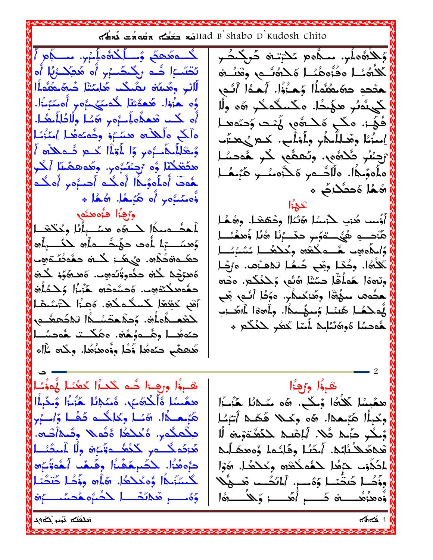Had B'shabo D'Kudosh chito المُعدّ بينه بينه بينه بينه بينه بينه لْكَــوهُـوصَــرُ وَـــأَلَكْرُوهُ وَأَــرُب. مســـكِرور أَرْ وَلِلْلَاهُءَلُمِ. مَمْأَهُمْ كَلْبَتْنَةِ كُوجُنْكُمْ تَحْتَمَـٰٕٓٓٓٓٓٓٓا شَـٰہ رِكْمَضُـٰٓہِر أَہٖ مَّٰحَكُـٰٓٓٓٓٓہِۢٓا اُہ كَلاُهُـُـا هفُنُههُـا هَـٰدَهُنَــهِ وِتَعنُــةِ لَّاتُو وَهُنتُهُ بِمُنكَبِّ هُامِّتْنَا هُوَهُ هُنُوَاْ! هِتْحِهِ حَمَّمُتُمُّلًا وَجِبُّوُّا. أَجِمًا أَنَّمِ وَّة هَزُوْلَ هُهُمَّتْنَا كُمْنَيِّهِ مُؤْمِنٍ أَدْسَيَّهُمْ!. ڭچىئەئىر ھۇمخا. ەڭسگەڭىر %ە ولا أَه كُــد تَعَـدُّه أَــرُّه مِ الْأَحَاء والْاحُالَمُـعُــا. |فَهَٰذٍ. هَكُمْ مُكْشُفٍ هُتُت وُحَمُعَهَا وألَّى وألللَّه هسَّعَءٍ وحُوصُوطًا إسْتُرْسًا إمنُهُا وقْدَلِلْمَدُّرِ وِلْمَوْلَمِي. كَمَدْ يُهْدَّبَ وُ حْلاً مِكْتَرِدٍ وَالْمُقِلَّ الْحَسِرِ شَـٰمَـلاَتِهِ أَ أَرْجِئْنُو هِذُهُوهِ. وِنُعِمَّعٍ ۚ خُو هُوصُنَا مَدَّمَّدُكُمَّا وَّهِ رَّكِسُرُه بِ. وَهُدَهِمَّسًا أَكْب ەلمُەرَّىمَّا. ەلَّاشْـەر ەَىدەمئىـر ھَبُىھُـا هُوَدٌ أُولُووُهُا أُوجُدُ أَصِبُوبِ أُوجُدُ **﴾ شَهُا هَحثَكَاتُ \*** وْدْمَمْبُرْدَىزِ أَنْ تَكْرَىمُا. (تُأْهَدُ مُ تحلمو وَفِوْا فِرْهِ مِنْهِ، أُؤْسِب هُٰذِبِ لِأَنْسُلُ هَٰنُنُالُ وِحْتَفِعْهِا. وِهُـمُـلُ أحدُّےمكْ كَسَمَّة هِمَّالْمَا وكُكْمْلَا كَنْحَـــو هُيُــــةوُس حكَـــرُنُا هُنُا وَهِحْنُـــا وَهِمَدْمٍ لِمَ أَوْتِ حَهَّدُ حَدَّدٌ مِلَّا مِنْ الْمَرْ وُٱللأَهْوَاءِ ۖ هُـــدَكْتُهُ ۖ وَكُلْحُفُــا تُسُبُنُــا لْمَدُّهُا. وحُدًا وقِي حُـمُـا تَـهِــْتِم. هُرُجُـا ەُمدَكِم لگە ھدُوۋُلُەرەت. ەُملەگۇۋ لگەن وِتْ30ْ هَٰهَلُقَّا حَنَتْا 3ْهُمْ وَحْكُكُمْ. 3ْ0ْ حَفُّوهِكُمُومِ، وَحَشُّوتُهِ ۖ هُزُمُرَا وَحَكَمَلُهَ ـْمَـثُـُدَى ۚ مَـٰهُآ ۚ وَهُـٰٓ وَهُـٰهُمْ وَاللَّهُ ۖ وَلَا ۚ أَنَّـٰهِ ۚ قِبَ أَهْبِ كَفِّعْدَا كَسْكُمْكُوه. هُمْ الْكَشِّمْطُ لِمُحْكُما هَننَا وُسِهَْسِدًا. وِلَمِيهَا لَمْرَضَىٰتِ لِحْقَعِيثُماُهُ. وَحِكْمِحْسُيدًا تَمْحُمِعُي هُوصُل هُوهَنَّبُلِي لِّمَا كَعُرِ حَكْكُم \* حَمَٰهُمَا وهُـــهُوُهُنْ. هِهُكَــت هُوَجِسُــا هُدهمَّــع حمَّمهُا ذُكُّا وِذُهمْهُما. وكُلم عُلَّاء هْـِزْزَا وِرِهِــٰٓزَا هُـٰهِ كَكِّدُا كَعُنُـٰلٍ هُٰدَٰٓءُـُـٰلٍ - هُرِذًا وَرَجْدًا ھىمَسْلَا ةَأَحْكَمَىْ. ةَسَجَانًا هَنْتُوا وَسَكِيلًا إِ همَّسْلَمْ كَلاُهُ | وَّحَكَى. هُو مَكَّائًا هَزَّحْزًا هَبْسِيدًا. هَيْا وِجَلِيْدِهِ دَفْءَ وَلِيَبِرِ وِكْبِلًا هَبُعها. ۞ه وكلا فَهَـٰهِ أَسْئِـُا مِلْعَكُم، ۚ مُكْلَعُلُ ةُثُمِلًا ۚ وِتُبِكُلُوْتِهِ. وًىكُمْ حَنُمْ شَلا. أَلِمْسَمْ حْكَمْتَوْءِهُ لُل مَٰزِدُدِكْـــدِرِ كَكُفُــدَّوَّــَرَةِ وِلَا أَمِدَّـُـــا ِ مْدْهَٰدْخُلْبُدْ. أَحَ*ثُـا و*هَٰلِيَّـه! وُهِ مِشْـلُد*ا* دَّوهُدًا، لِكَبِرِهَقَيْرًا وِقَبِّهَبِ أَهْوَوَّيْهِم لمَكَّفِ حَرْهُا حَدَّدَهُم كُعْدِهِ وحُحْهُا. 3وْا لْكُسُنُولاً وُوكُحْجُدًا. وَأَوْمِ وَوُحُلِ جُتَجُمًا وِذُكُــا حَنثَنْــا وَهُــــرٍ. ٱلمَنَّــَــب هَـــوْبَلا وَةَ حَسِيرٍ مُحَائِشَا الْحَدُّوِ هُدَسَّدَانَ وْْهِ مِدْرُمُكْـــــــــْ مَكْـــــــــز وَ لِلْــَـــــــْهُ ا بَعْدُوْرُ بِهِمْ الْأَهْلَامُ سكان المحتفى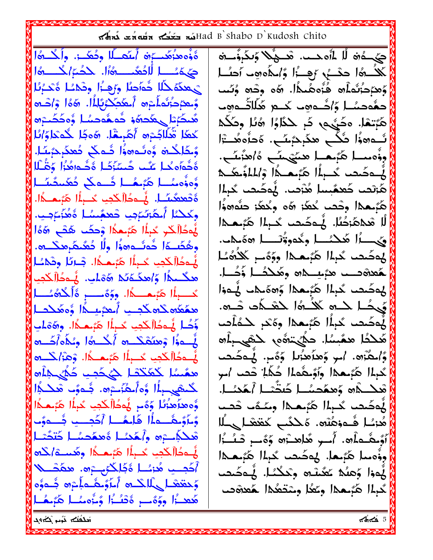## Khri riggin Kiriy riHad B`shabo D`Kudosh Chito

ةُوْدِهْدُهُمْسَـرَةَ أَسْكَــلَّا وَحُكَــزٍ. وأَكْـــرَهُ| شهدته المكم وزهزا وشلاك فتحرث وَعِدَدُتُمَلِّدَه أَعْدَدُكُوْبُلِمُّا. هَءُا وَاحْدِهِ مَسَكِّمْ السُّمَعْ مِمْ السَّمَاءِ مِنْ الْمَحْمَدِينَ كَعَدًا تَكْلَاكُمْوه أَهْرِعْنَا. وَوَجَا كُوْدَاوَاتُا وًىظَلِّكْ، وُەشەھۇا شەڭى ئىنگېتۇسًا. ةَحْمَاهِ كَـا عَنْبٍ حُسَنَةًكَـا ةَحْـواهُدًا وَقَـْلَا وُوزُوسُا هُزَيمُا شَيوكُو تُعْسِدُتَنَا ةَ تَعْتَقَصَّلَ. إِنَّــدَارَا كَجِبِ حَــبِهُ! هَبَــمــدًا. [ وكْلْمُا أَمْغَرْتُمْ دِيا خْعَفْهُمْمَا ةَهُزُمْ دِي. لَهُدَالَكُمْ كَبِئًا هَبَّــِمَدًا وْحَضَّ هَدًى هَاهَ! وهُكُنَــةَ أَحْمَنُــمِهُوا وَلَا تُعَمِّمُوهَــهِ. يُّددُالْكَجِبِ جُبِيرًا هَرَجِعِيدًا. شِبْرِيًا وَشَمْسًا هكْسِدًا وَاهْكُمُلَا هَءَابٍ. يُـودُالْكَجِبِ حُصِيلًا هَيُعَصِّدًا. ووَقَعَصِ قَالَكُوهُ ُصَل مغضوكمكجب أعثيكا ؤوقلاصا ذَكُم لِمُدَالِكَجِبِ حَجِبًا هَبُعِجًا. وَهَوْمَكِ يُرْدُوا وْهِنْقْݣُ بِهِ أَكْرِ وْا وْيُؤْوَافْسِهِ يُّددُالْكَجِبِ جُدِيلًا هَيُعْدَا. وْهَزْالْحْدُو مقشا كككفا حي دَبِ دَمْ وَلَمْ لَكْتَهْيَ بِلَا وَّەلَّكْنُتْرَه. بُنْدَوُت شَكْبًا! وُّەھلاَھنُرُّا وَدُّىرِ فُوجُالْكَجِبِ كَبِلًا هَبُــِهـدًا وُبِأَوْبِكُنِيهِ أَلْمَ أَلْمُ الْأَجْسِيبِ فُسَنَوْب تَعْكَذُبُوهِ وأَحَكْسًا ةُعْمَدْسًا دُتْدَّسًا لُمدُالكِيبِ كَبِيرًا هَبُيمِيهَا وهُستَهَاكُلُهِ أَحۡصِبِ هُٰٓئِكُمۡۖ ۚ ۚ وَۚ كَٰٓالْكَءِۡبِّ وَ ۖ مَعۡصَـٰ لاَ وُحققال بِٱللكِلِمِ ٱمْرَوْحَقَـٰمِٱمْ هِ مُحَوَّم فَعَعَدُ الْمِؤْمَنِينَ وَقَلْدُ الْمُؤْمِنُكُمْ هَٰذِهَا ا

جَيْسِهُ۞ لَٰلَ لِمَأْهِ هِــبٍ. ۚ هُـــجُلًا وَيَحْرِفُـــةِ ۖ لْكُنْدُوا حَقْسُ وَقِسْرًا وَٱلْمُؤْوِّفَ ٱحِسَارَ أَوْهِدَجَٰزُقُولُه ۚ قُزُوهُمَكُلٍّ. ۞ وحُو وُنَّس حَقَّقْصُلَّا وَاحْتَوْوَتْ كَلّْتُمْ هَٰلَاتُنَّقُّوتَ أَهَّتِهَا. وَحَيْيِهِ مَ حَذَّاؤًا هُنَا وِضَكُمْ شُـەھۈُا ئَكُــى ھكَرِجَئِــُـى. ەَجِزُەھُـــتْزَا وِوْهِما هُزْمِها هِنَتِي مَنْ هُمْنَيْ. أَهْــوَحَٰىف كَـــرِلَمَا وَيُنْفَــدًا وَٱلْمَلَوْْبِطَــدًا أَهَّرْتَصَا خَعْشَيْسَا هُزْمَتَ. لِمُوَجَّمَتِ كَرِلَمَا |هُرُمها| وشعب لُحظَز 60 ولُحظَز حنَّه10وُ لًا مْدْهَٰزْهُاْ. بُْءهُمت تُدبِاْ هَٰزُـهـدَا يَ أَلا هَكْسًا وِخُدوقُ الصَّلَامِ مَا مِنْ | لموكَّبت كَبِيرًا هَيُنْعَنَا وَوَوْسِ كَلَاهُنَا | أَ هَعِنْوَدَـــبِ مِنْ بِسِـــدْهِ ۖ وِهَٰـلِكُـــلِ وَكُـــلِ. أَوْصَحْبِ لَجِمْلَ الْمُعْتَمِينَ مِنْ الْمُحَمَّدِينَ الْمُحَمَّدِينَ أَيْهِكُمَا لَحْسَنَ مِنْ الْمُتَلَمَّدَ قَسْمَةٍ. |هُڪَت گَبِئُلُ هُبُعِّهِ وَهُكُرِ كَـهُلَّت أَهْلَاهُ الْمَعْسَلَةُ حَيْمَةٌ مِنْ الْمُبْتَدَةُ مِنْ الْمُكَنَّمَةُ وَّا مِّنْ هُو، امر وَهدَهدُ لا وَوَّمِ. لِمُحَكِّدت |حُبِلًا هَبُعِها وَآوُحِقُوا ا حُكَلٍ حَصَّ امر أَهْلَــدُاه وَهِمَجِسُــا جَنشَيَـا أَيَمَّحْـَـا. لْمَحَٰىفِ كَبِيلًا هَبُنِعَـٰهَا وَسَّـٰهُ۔ خُصّـ مُزْسًا فُءِمُتُو. هَكْنُب كَعْعْشَا حِطًا أَوُحِقُـء}ُ۞. أُمــو هُاهــُ;۞ وَءٌمــرٍ تَــئُــرُا وؤُوسا هَبُرها. لِمَحَمد كَبِّلًا هَبُرهها أَهُوا وَهلُمْ مُعَْسْدَ وِتَكْتُلْ لُمِعَكِّدَ أكباا هَزمها وتعدا وستغلا حَمدهص

م الم الله عنه المسلم المسلم المسلم المسلم المسلم المسلم المسلم المسلم المسلم المسلم المسلم المسلم ا

 $\mathbf{K}$ ሐ< $\mathbf{A}$  5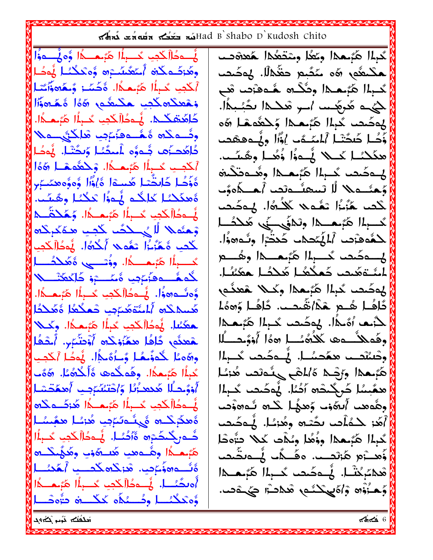## gha right give whad B shabo D Kudosh chito

لِّدَدُالَكِيبِ جُدِيلًا هَيُتَعَدِيدًا وُوَيُّدَوْا وهَزكُـمكَّةُ أَسْعَٰنُسْـْرُهُ وُهْتَكْسُلْ هُمَـٰا أَكْجِبِ كَـرِدًا هَرُحْمَاً. ةَكْسَٰرْ وُحِمُوهَ وَاتَّقَالَ وتقعدهم كدب مكتفكم وكان كمك ووأا كَامَحْقَكُــمْ. هُــودُالْكَجِبِ حُــرِمُّا هَرُحِـدًا. وئُــوكُمْ ةَحُــوفَوُمُ بِمِ قُلِكُنَّ ــولا دُامُحتَوْم شُدوُّه لْمَحَّنُا وَيَحَّتْا. يُدَخَّا أكجب حُبِلًا هَبُعِجًا. وَحَقَّقَطَ وَهُوَا ةُؤُكُلُّ كَانِتْمْلُ هُنْتُمْلُ وَإِرْءُلُّ وُووُوهِ مِنْكِبِرٍ ةُمكَّنْدَا كَلِيْدُ لِهُءَٰا تَكْتُا وِهُسًّت. لُمْدَالَكْجِي حُسِراً! هَرُحْكُلْ. وَحَكَشُكُمْ وْهِنُولًا لَّا يُسْلِيْكَ لَكْتِبَ هُوَمُدْرِكُلُهِ لَحْمَدِ وَالْمُنْذَا تَعْوَى الْكُلُوا. إِنَّوْدَالْكَمِد تَحْسِبِلًا هَبَّتْ الْمُسْتَدَانُ وَوَّتْسَبَّى، ةَقَطَدُّسَنَارَ وُوتُـدوووُّا. إِنَّـددُالْكَجِبِ كَــرِمَّا هَرُجِعَـدًا. مُسلِكُلِهِ ٱلْمُتَمَّمَّدِتِ شَعِكْمًا ةَمَكْتُلِ حَكْمُا. بُودُالْكَجِبِ حُرِمُ! هَرُحِكَا. وحُكَلا هَعِدُورٍ دُاهُا مِمُّزْوَحْدِهِ أَزْحِتُمْنِ. أَحْقَا وهُومُا كُونُهُا وُسُؤُمُوْا. هُوصًا أَكْجِب حْبِلًا هَبُعِمًا. وفَمِكُمِنَ ةَأَلَحُوهُمْ. وَهُمَ أُوْوَىصُلَا هَٰدِهِـزُرُل وَ/شَتَنْتَكِ مِـبِ أَهْهَدَسْـل فُ دَٰالَکجِبِ حُـــرِمَٰا هَرُ هـــدًا هَٰـَـزَکَـــدگَرَه أَسْتُمِكُمْ أَسْتُمْ يُمَتِّيكُمْ مُتَكَبِّصَةً مِنْ الْمُسْتَمَاءَ كُدرِ كُنكُتْرُو ۚ وَّاَكْتُـا. ۖ يُـُدَكْلَا كَجِبِ كَــرِدًٰا ۖ هُزَيْعَيْدًا وِهْتُومِينَ هُنْتُوهُوْتٍ وِهُدَيْتِكْتُرُو ةُلُسوهُ وُمُرْمَى. هُزِيْلُهِ كُمِي أَهْلَيْسَار أُوبِكْتُمْلِ فُي دَدَٰالِكَدِتِ جُدِيدًا هَرُجْ ذَلَ وُهْدُكْسًا وَضُــمُكُم كَكَـــةِ ضُوَضَــا

كبلا هُبُعِها وسُعًا وسْتَعُمَّا هَعْدَوْمِت هَكَتْتُو، وَهُوَ مَتَّقَبِّصِ حَقَّدَالًا. لِمَحَّمَّت كَـبِلَا هَبُـمـدَا وِتُكْـهِ هُـدفَتِت مْبِ لكَيْتُ هُوهُنْتُ أُسْوِ هُكْتُمَا تَحَسُّمُوا. وه لَمَحْمَد مَّدْمًا هُمُعَهَا وَحَمَّدَهُا هَ أَذُكُـا حَبِّتَـا ٱلمُحَـَّف إِذًا وِلْمَعْقَف هكَنْسًا كَنْبَهُ فُحِدُوا ذُهُنَا وهُسَّبٍ. لمحكَّم كَــبِلَمْ الْمُبْــمـــا وهُـــوتلْــه أَوْحِيَّــدْ لَا تَسْعِيَّــدِيْنَــدِ أَحْـــدَّدَوَّب لكْصَا هُنُوْا تَعْوِيهِ لَلْأَبِّهِ لِلْمُحَمَّدِ تكسبهاا هَبْسها وتمفّى بَيْ هَكْشًا لِحَقُوهَ;ما أَلم يُحَكِّم المُحَضَّرَ الْمِرْدُودُ وَاللَّهُ وَاللَّهُ وَاللَّهُ وَالَّذِينَ وَالْ لمستوصَّف كمسيرا المُرْمسة الموقية لمنشق مُحدد حَملُهُا هُلِهُا هِهَيْنَا. ومكتف كبار المعتقد المبدّ متحدّث أَكَلِفُــل هُـــم هَذَا نَقُـمـــب. كَلِفُــل وَ16% لذَها أَةَ لِمَا. لِمَحَمَد تَكْرِمَا هَزَهِمَا وفَمِيشُــوهِ لَلْأَوُيُــا هِوَا أَوْوُمِـــأَلَّا وضَلَّتَف مَعَّصَلًا. فُءَهُمِنَا لَمَعَهُمْ الْمَسْرَةَ أَحْبَـٰها مِرْضَـٰهَا 1⁄4هـم مِنْـُـٰهَـٰكُمْ مِنْـُـٰهَـٰـٰهُمْ مِنْـٰمَـٰهُمْ مِنْ مِنْ مِنْ مِنْ هِهَبِسُا حُرِجُنْدُه ٱثْنَا. لِمُحَمِّد لَا بِلَا وهُوهما أَنتَوُف وُههُا لَكْتَ شُورُوْها أَهَٰذِ حَـٰهُٰلُمَـٰ نَشَتَه وَهُٰذِكَا. لِمُـٰهَضَمـٰ كْبِهْلَا هَٰبُعِجَا وَذُهُا وِيُكْفِ كَحِلا فَتُوَقَّا  $\left| \frac{1}{2} \sin \theta \right| \leq \frac{1}{2}$ وَ مَسْلَمَانِ مُسْتَمِدِينَ مِنْ مَسْتَمِدِينَ أَهْلاَئِكِنْسًا. فَيَدْدَدُ كَسِيرًا هَزَيْدِ الْمُسْتَدَارَ أَوَّهِ أَوْمَا أَوْمَا مِنْكُمْ وَسَلَاحَةً أَوْمَا مِنْ أَمْسِيَّةٍ مِنْ أَوْمَاءَ مِنْ مِنْ أَوْمَ

م عرَّ مَهْم مَنْ الْمَسْتَمْ

 $\mathcal{R}$ ሐፈ $\mathcal{R}$   $6$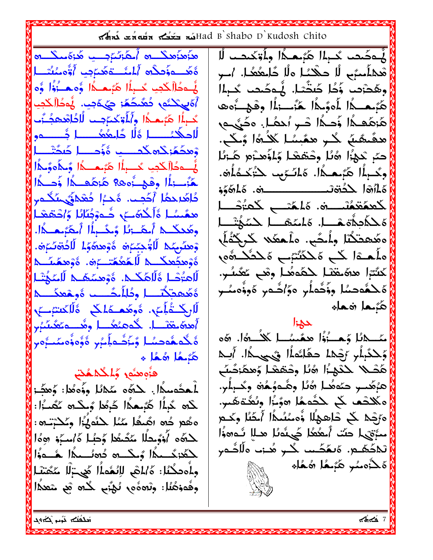rhaí rágén référ réhad B'shabo D'Kudosh Chito لِّـوَكَّـبِ كَــرِدًا هَرَّمَـهِـدًا وِلَمَّتْكَـمَـبَ لَلْ ھۇھۇھىك بە أىكۆئى بىس ھۇئىسىگ بە ةَهَـــوَوَحِدْهِ أَءُمَّـــةِهَدَمِد أَوُّومُنُتَــا |مْدْلَمْئِي لْا حَدْنُـا هْلْا حُلْمَحْمَـٰا. '،ــو لَمُحدَّالَكَجِبِ كَسِيلًا هَبُيمِيجًا وُمَعْسَرُوًّا وُهِ وهُدْوَيْتُ وَّدُل كُنشَّدْل لُمُدَّمَد كُبِيلاً أَهْلِيَكْتُمْ، فُعَنْدَهُمْ دَيْهُمِيا. هُوَذَالَكْمِي هَّرُوهِ دَا أُورُواْ هَزُوجُواْ وَقَوْلَ وَمَ كَبِرْاً هَرَجِيجًا وأَلَمْ وَتَكْتَرَجِيبَ لْإِجْلَاهِجِيدُوْتَ هَزهُهـدًا وَحـدًا صَــر ٱلمَعْــا. وصَنْحِم ھقَىقَىنَ كَبِ ھقَيسًا كَلَّاهُ أَوَلَّكَ. وْهِكُمُ;كُلْمَكْمَــبِ هُؤُمَـــا ضُمُّتْـــا حمّ كَيْزًا هُنُا وِحْقَعْدَا وَاذَهَبْوَهِ هَٰذِنَا لُمَدَالَكَجِبِ كَسِيلًا هَبُعَصَدًا وُحِدَّدَهُ ا وكْبِداْ هَٰبُعِجَا. هَائِجَبِ حَتَّكَجُلُهَ. هَّزُكِماْ وَهْدِجُوهِ؟ هَزِهُكِما وَْحِكْما دُاهُدىهُا أَحَجِب. ةَجِبْلِ دُهْدُوَّي مِنْكُمْنِ كَعِمَقِهُنْــــة. هَاهُنْــــــ كَعَبُّــَـــا همَّسُـا ةُأَكْتَمَــَىٰ شُــْوَبُنَانَا وَاتَّتَعْعَــا كَمْحِدّْةِ هَــا. وَاسْتَهْــا حَسَّيْتْــا وهُدكُمْ أَيضَـ زَلَمْ وَجَدَرَاْ أَيكَرُهمْ دَلَ هَ هُدْعَدْنُمْا وِلُمُدَّبِ. هِ لَمْعَكَلا لَمْرِيْتُهُ لَم وْهِبُهِيْهِ لَلْقُحِبَّيْرَةَ ۚ وُوْهِجُهُمُ لَلْخُوَّيْتَ وَفَ مأهــةا كَـــ هَـكَتَّتَنِـــ هَـكَثَـــُوَى ةَوْمِدِمِّعِيكِ 1 لَلْمُعُمُّمَّتِ مِّنْ . ةَوْمِمُمَّتَ 1 كَتُتْبَا هِمَىعْنَا لِحَمَّمَعْا وَهْمِ كَعُسُرٍ. لَّاهِتُوْدَا وَلَلْعَكُــدْ، وْوْهِسْهُــدْ لَلْسَّجُتْدَا َەَكْمُەھسُا وِذُهُماُرٖ ەوۡاۡھُـُمرٖ ەُوِذُەسُــَر ةُمُعصَلَّب وطُلَّمتُ مَعَصَّد أهُبُما فماه لَّارِكِتْمَٰلُّبُ. ۉُوهُمِـمَاكُمْ ۖ ۉَلَّاكُنتَ ِبَ أُهرَهُ مَعْتَـــــل كُمْهَدُكُمْ وَهُــــمَّعْفُسُبُر حجزا مَكْمُلَ وَهِــزُوُّا هِـمَّىسُـــل كَلْـــوَّا. وَهُ ةَ كُمْعُمُصِبًا وُخُصُّمَأِخْرٌ وُوُووُوحَكِ وَو وَحِكْرِلُو رَجْحِط حفَلِتَهِ أَا فَيُحِيجِكُمْ!. أَبِحِيجَ مَّبْسُلُ هُمُّلٌ هَصْلًا لِلْنَهِـٰٓۥٗا هُٰلًا وِصْقَعْـا وَمِعَزْهُكَـٰ فأوهنه والمكلمفتي ھۇھُىــو ھىُـھھُــا ھُلَا وھُــھۇھُھ وگــوِلُو. لْمَحَْمَسِمَا. كَلَّهُمْ سَّكْلًا وَذُهَقُلَ: وُهَدَّبَ: ەڭلاڭھە كَى لاشُەھُا «وَبْزًا وِنُغَّةْفَسِ. كَلُّهِ كَبِلًا هُبُعِمًا خَبُّعا وُحْدِهِ كَعُبُرًا: هَ وَجْمَعَ لَمْ حَاهِمُاْ وَْمِئْنُمَاْ أَيْضَاْ وِكُنْوَا هعُم حُمّ آهُمُعَا مَنْنَا لِحَنَّهُ أَلِيَّا وَخَلَّبْتُدِهِ : مَّةَ مِنْ الْمَسْرِحَةَ الْمَعْمَدُ أَسْتَهَا الْمَرَةَ بِمَسْمَدٍ لِحْمَٰى أُوْمُحِلًّا مُكَمُّعًا وَحِبًا هَ ُسَرِّوْ هِهَ أَ تْݣْݣُطُو. ەْتْھَكْسا بْكْتْو ھُـْبْتَ ەلْلْكُـەر للكرز كملا وكلا محاكم المساور أَهْلاَهِ مُدَّمِّلُ الْهُمُّلُ وَالْمُلْعَلِيُّ ولمُحكْمًا: كَامُلْتَى الْعُمَا الْمَحْمِينَ الْمَحْمَدَ الْمُحَمَّد وِقُومُنُا: وِلَـْ0َوْمٍ نُـهُّبَ ـ كُـْ7َ بِّعِ ـ مَعِدًا مَاءَكُمُ مَهْدٍ كَتُمْهُمْ ৺ তুস∲⊁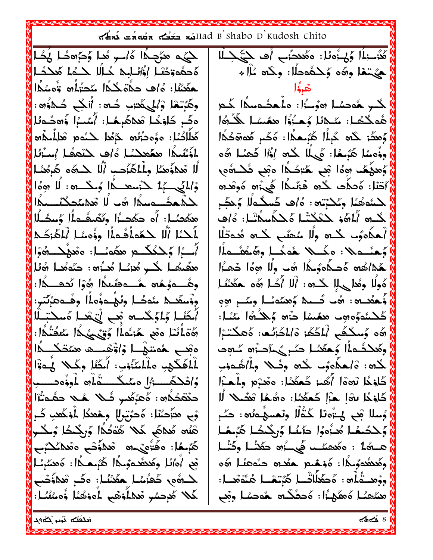## Shabo D'Kudosh chito

لْكَيْمَ هُرُجِيْدًا هُاسِ هُمَا وُجَرَّهِ صُلَّى لَكِسَا كَحِفُوقِصًا إِذْائِلِهِ حُـالًا ۖ حَــدُا كَحَكْمًا لِمَحْدَ هِهَٰنُلا: هُ/ُف حِذْةِ كُدًا مِنْحَتُلُم قُومُكُما وهَبْتُهَا وْلْمَلْيَهُتَبْ حُـْدَ: أُلْكِّي حُـْدُوُنَ: ەكْم كَافْخُا تْعَمْكُرْهُا: أُسُّبُرا فُقْدَنُا كَعْلَاكْمَا: دَوْدْتُنُو جَرِّهُمْ حَجْمَع قْعَلْمُدْوَة لمُؤْسُدُا مِعَمِينَا هُ و حَتَمِعًا إِسْرَنَا لُا مْدَازَهنَا ولْمَاهَزَحبِ ٱللصَّاصَ هَبِمُنَـا وْلِمَائِي لَمْ لِمَسْمَدِهُمْ أَوْكَسِهِ: لَا هِهُ ا لِكَمِعْـــوسِكَل هُو لَل مْجَمَّحْكَــَــمِكَل هَهُمُـا: أَه حَهُمــُوا وِنُمُعفُـماًا وُسمُـلًا لِمُحْبَلِ ٱلْلاحْكَمَاهُ عَالَلٍ وَذُوسًا ٱلْمُحْرَكَ أُسِرًا وَحَكْكُم مَكَمِسًا: وَتَعَهْجُمُ وَوَا هَقَىئُما لَكُــرٍ مُنْ صَالَ هُــأَ هِ : حَكَمَعُما هُـُلْم وهُـــوُـهُ¤ هُـــوقَسَمُّا هُوْا تُحفـــدًا: ووْسكَنــدْ متُوصُــا وِنُهْــووْهاْل وِڤــومْرُنْتُـرِ: أَسْتُلْمَا وَلْمَوْكُلْتُ صِبْ أَيْتَهْدَأَ هَسْكَتِبْلَا الْمُتَطَّلُدْ الْمَرْمِرْقِقَ الْمَشْهَدُ مِنَاهَ الْمُلْحَنُّهُ : وْقِبِ هُوسْنَيْ أَوْ}َوْهْمَــدَ مَسْتَكْــدُا لْمُلَكَّكِمِبِ مِلْمُمْنَوْفٍ: أَمَكُلْ وِكَحِلاً لِمُعَوَّْا وُاطْحُكُمْ وَالْمَعْكُمْ وَأَادِهِ أُوفُوهُ مِنْ مِنْ الْمُؤْمَّدِينَ حْتَمَحُكُمُ : هُجَرِّهُمِ ثَــلا ـ هُــلا حَقَــهَ تُذَا وْمٍ هَتَوَصَّلَا: هُجَّتِبُولا وهَعَكُل لَمُؤَكِّعَبِ كَمِ هَلُه مُدمَّم لَملا هَتَمُدُّا وُرِجَّحْدُا وُحَكَّر هُبُممًا: هَفُتُهِيْمِهِ ۚ مُعْذُفُمٍ هِمْعَدَّكَتِرَب بْعِ أَهْلُا وِهُدِهُدِهُوَمِمَّا هُبُمِعِيمًا: هَمْنُبِيُمَا لِحْدَةُو كَعَنْسًا حَقَّتْنَا: وَكُمْ تَعْلَوْكُبْ ـ*كْـلا* كَعرِحسُو تْعَمْلُوْشْمِ ـلْـْدَوْشُاْ وُّد*َىنْتُـٰ*ا:

هَّتَ بَلَّا وَلِيَّةَ مَاْ: مَعْدَّتَ أَفْ لَيَكْلِمُ الْمُ هَيْتُهْا وَهُه وَحَقَّدَهَا: وِحْمَّ مُأَا \* ۿۏؙٳ لْحُــرِ ـ هُـُدَمُــا ( «وُـــاً : ه أَــمثَــه سَدًّا ۖ ـكَــم أَهْمَكْتُمَا: سَّكْلًا وَحَنُّوْا مِعَسَلًا لَكُتْتَا أَوَّهَمَّ: ذَكَّهُ شَدَاً! هُبُعَهُ!: هُكُمْ هُدَةَهُدًا! وِؤْهِمًا هَبُعْدًا: يَا لَكُ الْمِرَةُ الْحَمَّلَ الْهُوَ وَهِيْهُمَا هِوَا بِّنِي هُرْحُكُمُ وَقِي شَكْرُوهِ ٱتقل: ەَحكَت ݣُدە قْتِنْبِكُمْ! فَيٰٓءُو وَقِيدِهِ لحَسَّمَهُمُا وَكَثَبَتُمَ : هُ/َ كَسَكُمُلَا وَحَكِّرِ كْتُمْ أَمْاهُوْ لِلْتَكْتُبْلُ هُلْكُمْسِكْتْبَا: هُ افْ أهدَّدَوَب لَكِنَّهُ وَلَا مُنْعَفَبٍ لَكِنَّهُ هُدِدَلَلَا وَهِنَسْمَلًا: هَكْسُلًا هُهُكُسَا وَهُنُعُشُسُهِ أَ لَّهُمْ أَهُدَهُ وَحَكَّاهُ وَحَكَّا اللَّهَ وَلَا هَذَا خَصَرًا أَهُولًا ومُعلي لِلإِ لَحْسِهِ: أَلَّا أَحْبَا هُوَ حَقَّمْتُهُ أَ وَعَقَدِهِ: شَاتَ شَبْطٍ وَهِيَهُمْ الْمُؤْمِنِينَ وَمِنْ كَحْشَوُوهِ حَقَيْسًا حَرْهِ وَجْدُهُا مَنْداً: |هَ وَسِكْفُ ٱلْمُكْمُ: ٱلْمُكْتُبُ وَصَكَّتَبْهِ وهُكِشُماْلُ وُهِهْدًا حَيْرٍ يُهَدُّرُهُ كُلِّهِت |لَكْ10: هُ/هِدُوهُو لَكُمْ وِثْبِلا وِلْمُ هُدِمْنِ كَافِكًا تَعَوْا أُهُمْ كَعَعْدًا: وَقَدْمٍ وِلْمَنْوَا كَافِكًا بِثَوْا هَزَا كَعِفْدًا: وَهُهُمْ تَعْصُلاً لَل وُمِيلًا بِّي إِنَّ مِنْ أَنْ الْمُؤْلَّلَ وَتَعْمَلُوهُ مِنْ مَنْ الْمَدِّي أوَّكْحُمَّا مُنْوَوُّا حَرَّمْنَا وَرَجَّحْنَا هُرَجَّا هــوهُـا: وهُهمسّـــو هُـــوْو هُهْنُــا وكَنْــا وهُدشُدوٌماً : هُوْهُمو هِعُدِهِ حِنْدِهَا هُ هِ .ووْهشْهُارُه: هُحَعُلُلْتُسا هُبْتِهْسا هُنْةڤسا: مَسْمَىٰا هُمَكُمْ: } هُحَفَّكُ، هُوَجِبَا وَبِّعِ